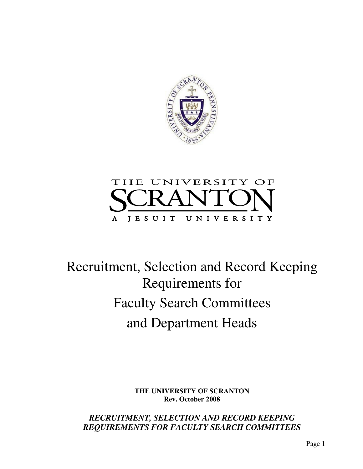



# Recruitment, Selection and Record Keeping Requirements for Faculty Search Committees and Department Heads

**THE UNIVERSITY OF SCRANTON Rev. October 2008** 

*RECRUITMENT, SELECTION AND RECORD KEEPING REQUIREMENTS FOR FACULTY SEARCH COMMITTEES*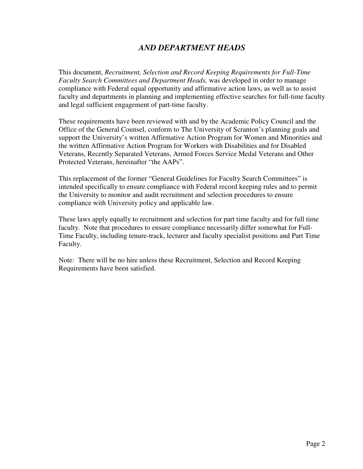## *AND DEPARTMENT HEADS*

This document, *Recruitment, Selection and Record Keeping Requirements for Full-Time Faculty Search Committees and Department Heads,* was developed in order to manage compliance with Federal equal opportunity and affirmative action laws, as well as to assist faculty and departments in planning and implementing effective searches for full-time faculty and legal sufficient engagement of part-time faculty.

These requirements have been reviewed with and by the Academic Policy Council and the Office of the General Counsel, conform to The University of Scranton's planning goals and support the University's written Affirmative Action Program for Women and Minorities and the written Affirmative Action Program for Workers with Disabilities and for Disabled Veterans, Recently Separated Veterans, Armed Forces Service Medal Veterans and Other Protected Veterans, hereinafter "the AAPs".

This replacement of the former "General Guidelines for Faculty Search Committees" is intended specifically to ensure compliance with Federal record keeping rules and to permit the University to monitor and audit recruitment and selection procedures to ensure compliance with University policy and applicable law.

These laws apply equally to recruitment and selection for part time faculty and for full time faculty. Note that procedures to ensure compliance necessarily differ somewhat for Full-Time Faculty, including tenure-track, lecturer and faculty specialist positions and Part Time Faculty.

Note: There will be no hire unless these Recruitment, Selection and Record Keeping Requirements have been satisfied.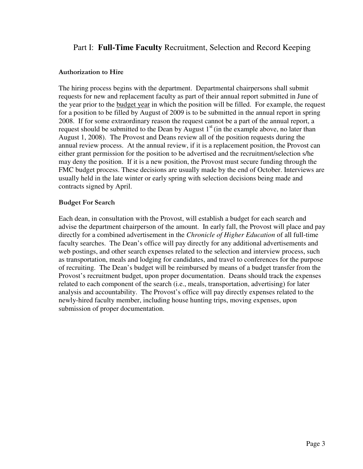## Part I: **Full-Time Faculty** Recruitment, Selection and Record Keeping

#### Authorization to Hire

The hiring process begins with the department. Departmental chairpersons shall submit requests for new and replacement faculty as part of their annual report submitted in June of the year prior to the budget year in which the position will be filled. For example, the request for a position to be filled by August of 2009 is to be submitted in the annual report in spring 2008. If for some extraordinary reason the request cannot be a part of the annual report, a request should be submitted to the Dean by August  $1<sup>st</sup>$  (in the example above, no later than August 1, 2008). The Provost and Deans review all of the position requests during the annual review process. At the annual review, if it is a replacement position, the Provost can either grant permission for the position to be advertised and the recruitment/selection s/he may deny the position. If it is a new position, the Provost must secure funding through the FMC budget process. These decisions are usually made by the end of October. Interviews are usually held in the late winter or early spring with selection decisions being made and contracts signed by April.

#### Budget For Search

Each dean, in consultation with the Provost, will establish a budget for each search and advise the department chairperson of the amount. In early fall, the Provost will place and pay directly for a combined advertisement in the *Chronicle of Higher Education* of all full-time faculty searches. The Dean's office will pay directly for any additional advertisements and web postings, and other search expenses related to the selection and interview process, such as transportation, meals and lodging for candidates, and travel to conferences for the purpose of recruiting. The Dean's budget will be reimbursed by means of a budget transfer from the Provost's recruitment budget, upon proper documentation. Deans should track the expenses related to each component of the search (i.e., meals, transportation, advertising) for later analysis and accountability. The Provost's office will pay directly expenses related to the newly-hired faculty member, including house hunting trips, moving expenses, upon submission of proper documentation.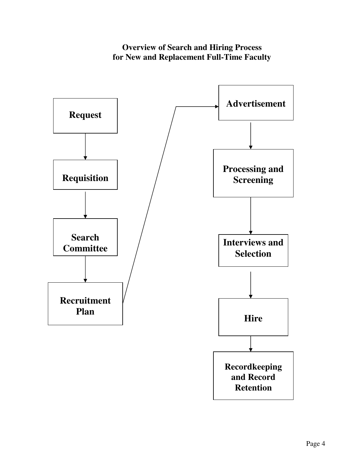# **Overview of Search and Hiring Process for New and Replacement Full-Time Faculty**

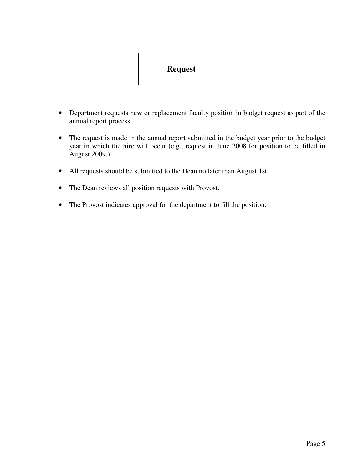# **Request**

- Department requests new or replacement faculty position in budget request as part of the annual report process.
- The request is made in the annual report submitted in the budget year prior to the budget year in which the hire will occur (e.g., request in June 2008 for position to be filled in August 2009.)
- All requests should be submitted to the Dean no later than August 1st.
- The Dean reviews all position requests with Provost.
- The Provost indicates approval for the department to fill the position.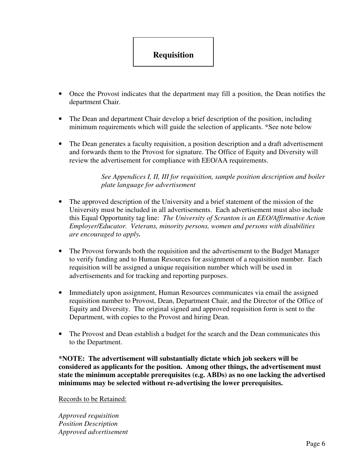

- Once the Provost indicates that the department may fill a position, the Dean notifies the department Chair.
- The Dean and department Chair develop a brief description of the position, including minimum requirements which will guide the selection of applicants. \*See note below
- The Dean generates a faculty requisition, a position description and a draft advertisement and forwards them to the Provost for signature. The Office of Equity and Diversity will review the advertisement for compliance with EEO/AA requirements.

*See Appendices I, II, III for requisition, sample position description and boiler plate language for advertisement* 

- The approved description of the University and a brief statement of the mission of the University must be included in all advertisements. Each advertisement must also include this Equal Opportunity tag line: *The University of Scranton is an EEO/Affirmative Action Employer/Educator. Veterans, minority persons, women and persons with disabilities are encouraged to apply.*
- The Provost forwards both the requisition and the advertisement to the Budget Manager to verify funding and to Human Resources for assignment of a requisition number. Each requisition will be assigned a unique requisition number which will be used in advertisements and for tracking and reporting purposes.
- Immediately upon assignment, Human Resources communicates via email the assigned requisition number to Provost, Dean, Department Chair, and the Director of the Office of Equity and Diversity. The original signed and approved requisition form is sent to the Department, with copies to the Provost and hiring Dean.
- The Provost and Dean establish a budget for the search and the Dean communicates this to the Department.

**\*NOTE: The advertisement will substantially dictate which job seekers will be considered as applicants for the position. Among other things, the advertisement must state the minimum acceptable prerequisites (e.g. ABDs) as no one lacking the advertised minimums may be selected without re-advertising the lower prerequisites.** 

Records to be Retained:

*Approved requisition Position Description Approved advertisement*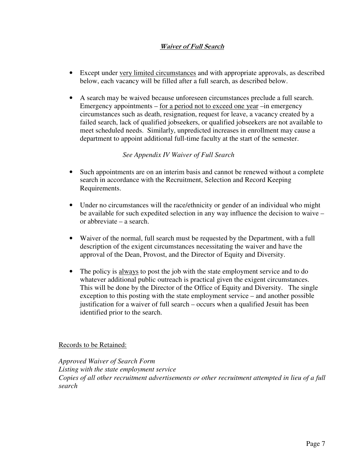#### Waiver of Full Search

- Except under very limited circumstances and with appropriate approvals, as described below, each vacancy will be filled after a full search, as described below.
- A search may be waived because unforeseen circumstances preclude a full search. Emergency appointments – for a period not to exceed one year –in emergency circumstances such as death, resignation, request for leave, a vacancy created by a failed search, lack of qualified jobseekers, or qualified jobseekers are not available to meet scheduled needs. Similarly, unpredicted increases in enrollment may cause a department to appoint additional full-time faculty at the start of the semester.

#### *See Appendix IV Waiver of Full Search*

- Such appointments are on an interim basis and cannot be renewed without a complete search in accordance with the Recruitment, Selection and Record Keeping Requirements.
- Under no circumstances will the race/ethnicity or gender of an individual who might be available for such expedited selection in any way influence the decision to waive – or abbreviate – a search.
- Waiver of the normal, full search must be requested by the Department, with a full description of the exigent circumstances necessitating the waiver and have the approval of the Dean, Provost, and the Director of Equity and Diversity.
- The policy is always to post the job with the state employment service and to do whatever additional public outreach is practical given the exigent circumstances. This will be done by the Director of the Office of Equity and Diversity. The single exception to this posting with the state employment service – and another possible justification for a waiver of full search – occurs when a qualified Jesuit has been identified prior to the search.

#### Records to be Retained:

*Approved Waiver of Search Form Listing with the state employment service Copies of all other recruitment advertisements or other recruitment attempted in lieu of a full search*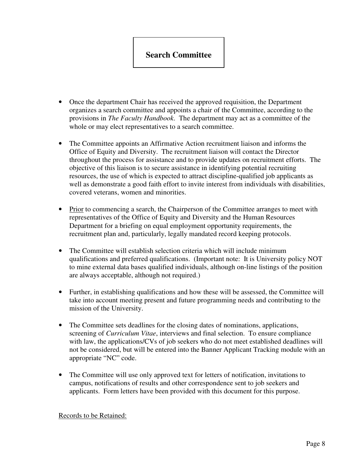# **Search Committee**

- Once the department Chair has received the approved requisition, the Department organizes a search committee and appoints a chair of the Committee, according to the provisions in *The Faculty Handbook*. The department may act as a committee of the whole or may elect representatives to a search committee.
- The Committee appoints an Affirmative Action recruitment liaison and informs the Office of Equity and Diversity. The recruitment liaison will contact the Director throughout the process for assistance and to provide updates on recruitment efforts. The objective of this liaison is to secure assistance in identifying potential recruiting resources, the use of which is expected to attract discipline-qualified job applicants as well as demonstrate a good faith effort to invite interest from individuals with disabilities, covered veterans, women and minorities.
- Prior to commencing a search, the Chairperson of the Committee arranges to meet with representatives of the Office of Equity and Diversity and the Human Resources Department for a briefing on equal employment opportunity requirements, the recruitment plan and, particularly, legally mandated record keeping protocols.
- The Committee will establish selection criteria which will include minimum qualifications and preferred qualifications. (Important note: It is University policy NOT to mine external data bases qualified individuals, although on-line listings of the position are always acceptable, although not required.)
- Further, in establishing qualifications and how these will be assessed, the Committee will take into account meeting present and future programming needs and contributing to the mission of the University.
- The Committee sets deadlines for the closing dates of nominations, applications, screening of *Curriculum Vitae*, interviews and final selection. To ensure compliance with law, the applications/CVs of job seekers who do not meet established deadlines will not be considered, but will be entered into the Banner Applicant Tracking module with an appropriate "NC" code.
- The Committee will use only approved text for letters of notification, invitations to campus, notifications of results and other correspondence sent to job seekers and applicants. Form letters have been provided with this document for this purpose.

#### Records to be Retained: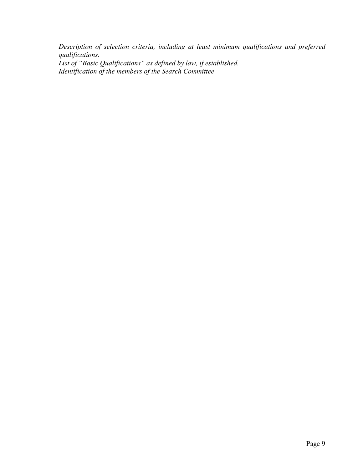*Description of selection criteria, including at least minimum qualifications and preferred qualifications. List of "Basic Qualifications" as defined by law, if established. Identification of the members of the Search Committee*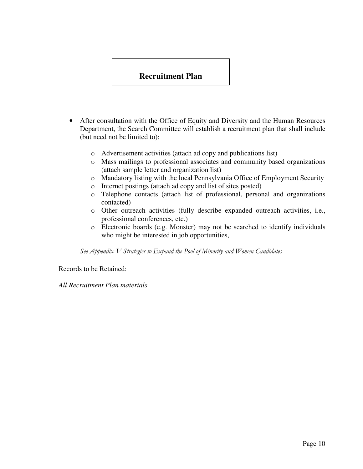## **Recruitment Plan**

- After consultation with the Office of Equity and Diversity and the Human Resources Department, the Search Committee will establish a recruitment plan that shall include (but need not be limited to):
	- o Advertisement activities (attach ad copy and publications list)
	- o Mass mailings to professional associates and community based organizations (attach sample letter and organization list)
	- o Mandatory listing with the local Pennsylvania Office of Employment Security
	- o Internet postings (attach ad copy and list of sites posted)
	- o Telephone contacts (attach list of professional, personal and organizations contacted)
	- o Other outreach activities (fully describe expanded outreach activities, i.e., professional conferences, etc.)
	- o Electronic boards (e.g. Monster) may not be searched to identify individuals who might be interested in job opportunities,

See Appendix V Strategies to Expand the Pool of Minority and Women Candidates

Records to be Retained:

*All Recruitment Plan materials*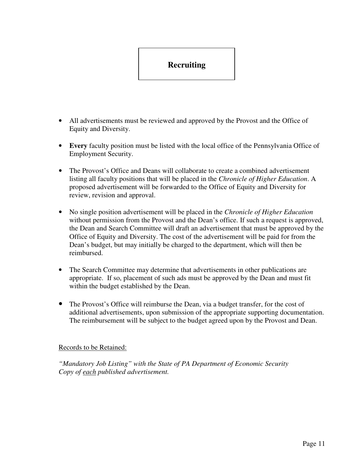# **Recruiting**

- All advertisements must be reviewed and approved by the Provost and the Office of Equity and Diversity.
- **Every** faculty position must be listed with the local office of the Pennsylvania Office of Employment Security.
- The Provost's Office and Deans will collaborate to create a combined advertisement listing all faculty positions that will be placed in the *Chronicle of Higher Education*. A proposed advertisement will be forwarded to the Office of Equity and Diversity for review, revision and approval.
- No single position advertisement will be placed in the *Chronicle of Higher Education* without permission from the Provost and the Dean's office. If such a request is approved, the Dean and Search Committee will draft an advertisement that must be approved by the Office of Equity and Diversity. The cost of the advertisement will be paid for from the Dean's budget, but may initially be charged to the department, which will then be reimbursed.
- The Search Committee may determine that advertisements in other publications are appropriate. If so, placement of such ads must be approved by the Dean and must fit within the budget established by the Dean.
- The Provost's Office will reimburse the Dean, via a budget transfer, for the cost of additional advertisements, upon submission of the appropriate supporting documentation. The reimbursement will be subject to the budget agreed upon by the Provost and Dean.

#### Records to be Retained:

*"Mandatory Job Listing" with the State of PA Department of Economic Security Copy of each published advertisement.*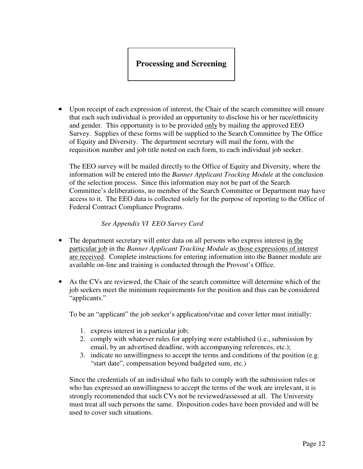# **Processing and Screening**

• Upon receipt of each expression of interest, the Chair of the search committee will ensure that each such individual is provided an opportunity to disclose his or her race/ethnicity and gender. This opportunity is to be provided only by mailing the approved EEO Survey. Supplies of these forms will be supplied to the Search Committee by The Office of Equity and Diversity. The department secretary will mail the form, with the requisition number and job title noted on each form, to each individual job seeker.

The EEO survey will be mailed directly to the Office of Equity and Diversity, where the information will be entered into the *Banner Applicant Tracking Module* at the conclusion of the selection process. Since this information may not be part of the Search Committee's deliberations, no member of the Search Committee or Department may have access to it. The EEO data is collected solely for the purpose of reporting to the Office of Federal Contract Compliance Programs.

#### *See Appendix VI EEO Survey Card*

- The department secretary will enter data on all persons who express interest in the particular job in the *Banner Applicant Tracking Module* as those expressions of interest are received. Complete instructions for entering information into the Banner module are available on-line and training is conducted through the Provost's Office.
- As the CVs are reviewed, the Chair of the search committee will determine which of the job seekers meet the minimum requirements for the position and thus can be considered "applicants."

To be an "applicant" the job seeker's application/vitae and cover letter must initially:

- 1. express interest in a particular job;
- 2. comply with whatever rules for applying were established (i.e., submission by email, by an advertised deadline, with accompanying references, etc.);
- 3. indicate no unwillingness to accept the terms and conditions of the position (e.g. "start date", compensation beyond budgeted sum, etc.)

Since the credentials of an individual who fails to comply with the submission rules or who has expressed an unwillingness to accept the terms of the work are irrelevant, it is strongly recommended that such CVs not be reviewed/assessed at all. The University must treat all such persons the same. Disposition codes have been provided and will be used to cover such situations.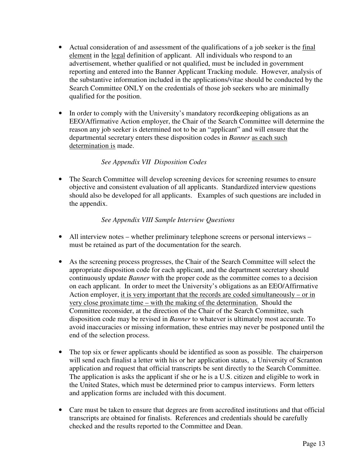- Actual consideration of and assessment of the qualifications of a job seeker is the final element in the legal definition of applicant. All individuals who respond to an advertisement, whether qualified or not qualified, must be included in government reporting and entered into the Banner Applicant Tracking module. However, analysis of the substantive information included in the applications/vitae should be conducted by the Search Committee ONLY on the credentials of those job seekers who are minimally qualified for the position.
- In order to comply with the University's mandatory record keeping obligations as an EEO/Affirmative Action employer, the Chair of the Search Committee will determine the reason any job seeker is determined not to be an "applicant" and will ensure that the departmental secretary enters these disposition codes in *Banner* as each such determination is made.

## *See Appendix VII Disposition Codes*

• The Search Committee will develop screening devices for screening resumes to ensure objective and consistent evaluation of all applicants. Standardized interview questions should also be developed for all applicants. Examples of such questions are included in the appendix.

#### *See Appendix VIII Sample Interview Questions*

- All interview notes whether preliminary telephone screens or personal interviews must be retained as part of the documentation for the search.
- As the screening process progresses, the Chair of the Search Committee will select the appropriate disposition code for each applicant, and the department secretary should continuously update *Banner* with the proper code as the committee comes to a decision on each applicant. In order to meet the University's obligations as an EEO/Affirmative Action employer, it is very important that the records are coded simultaneously – or in very close proximate time – with the making of the determination. Should the Committee reconsider, at the direction of the Chair of the Search Committee, such disposition code may be revised in *Banner* to whatever is ultimately most accurate. To avoid inaccuracies or missing information, these entries may never be postponed until the end of the selection process.
- The top six or fewer applicants should be identified as soon as possible. The chairperson will send each finalist a letter with his or her application status, a University of Scranton application and request that official transcripts be sent directly to the Search Committee. The application is asks the applicant if she or he is a U.S. citizen and eligible to work in the United States, which must be determined prior to campus interviews. Form letters and application forms are included with this document.
- Care must be taken to ensure that degrees are from accredited institutions and that official transcripts are obtained for finalists. References and credentials should be carefully checked and the results reported to the Committee and Dean.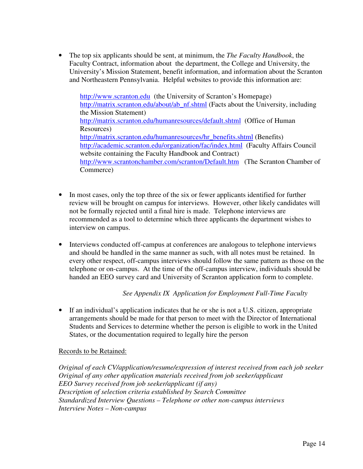• The top six applicants should be sent, at minimum, the *The Faculty Handbook*, the Faculty Contract, information about the department, the College and University, the University's Mission Statement, benefit information, and information about the Scranton and Northeastern Pennsylvania. Helpful websites to provide this information are:

http://www.scranton.edu (the University of Scranton's Homepage) http://matrix.scranton.edu/about/ab\_nf.shtml (Facts about the University, including the Mission Statement) http://matrix.scranton.edu/humanresources/default.shtml (Office of Human Resources) http://matrix.scranton.edu/humanresources/hr\_benefits.shtml (Benefits) http://academic.scranton.edu/organization/fac/index.html (Faculty Affairs Council website containing the Faculty Handbook and Contract) http://www.scrantonchamber.com/scranton/Default.htm (The Scranton Chamber of Commerce)

- In most cases, only the top three of the six or fewer applicants identified for further review will be brought on campus for interviews. However, other likely candidates will not be formally rejected until a final hire is made. Telephone interviews are recommended as a tool to determine which three applicants the department wishes to interview on campus.
- Interviews conducted off-campus at conferences are analogous to telephone interviews and should be handled in the same manner as such, with all notes must be retained. In every other respect, off-campus interviews should follow the same pattern as those on the telephone or on-campus. At the time of the off-campus interview, individuals should be handed an EEO survey card and University of Scranton application form to complete.

#### *See Appendix IX Application for Employment Full-Time Faculty*

• If an individual's application indicates that he or she is not a U.S. citizen, appropriate arrangements should be made for that person to meet with the Director of International Students and Services to determine whether the person is eligible to work in the United States, or the documentation required to legally hire the person

#### Records to be Retained:

*Original of each CV/application/resume/expression of interest received from each job seeker Original of any other application materials received from job seeker/applicant EEO Survey received from job seeker/applicant (if any) Description of selection criteria established by Search Committee Standardized Interview Questions – Telephone or other non-campus interviews Interview Notes – Non-campus*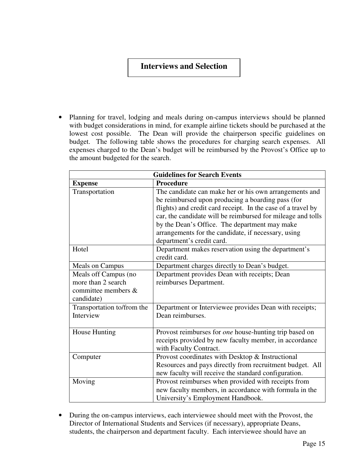## **Interviews and Selection**

• Planning for travel, lodging and meals during on-campus interviews should be planned with budget considerations in mind, for example airline tickets should be purchased at the lowest cost possible. The Dean will provide the chairperson specific guidelines on budget. The following table shows the procedures for charging search expenses. All expenses charged to the Dean's budget will be reimbursed by the Provost's Office up to the amount budgeted for the search.

| <b>Guidelines for Search Events</b>                                             |                                                                                                                                                                                                                                                                                                                                                                                 |
|---------------------------------------------------------------------------------|---------------------------------------------------------------------------------------------------------------------------------------------------------------------------------------------------------------------------------------------------------------------------------------------------------------------------------------------------------------------------------|
| <b>Expense</b>                                                                  | <b>Procedure</b>                                                                                                                                                                                                                                                                                                                                                                |
| Transportation                                                                  | The candidate can make her or his own arrangements and<br>be reimbursed upon producing a boarding pass (for<br>flights) and credit card receipt. In the case of a travel by<br>car, the candidate will be reimbursed for mileage and tolls<br>by the Dean's Office. The department may make<br>arrangements for the candidate, if necessary, using<br>department's credit card. |
| Hotel                                                                           | Department makes reservation using the department's<br>credit card.                                                                                                                                                                                                                                                                                                             |
| <b>Meals on Campus</b>                                                          | Department charges directly to Dean's budget.                                                                                                                                                                                                                                                                                                                                   |
| Meals off Campus (no<br>more than 2 search<br>committee members &<br>candidate) | Department provides Dean with receipts; Dean<br>reimburses Department.                                                                                                                                                                                                                                                                                                          |
| Transportation to/from the<br>Interview                                         | Department or Interviewee provides Dean with receipts;<br>Dean reimburses.                                                                                                                                                                                                                                                                                                      |
| House Hunting                                                                   | Provost reimburses for <i>one</i> house-hunting trip based on<br>receipts provided by new faculty member, in accordance<br>with Faculty Contract.                                                                                                                                                                                                                               |
| Computer                                                                        | Provost coordinates with Desktop & Instructional<br>Resources and pays directly from recruitment budget. All<br>new faculty will receive the standard configuration.                                                                                                                                                                                                            |
| Moving                                                                          | Provost reimburses when provided with receipts from<br>new faculty members, in accordance with formula in the<br>University's Employment Handbook.                                                                                                                                                                                                                              |

• During the on-campus interviews, each interviewee should meet with the Provost, the Director of International Students and Services (if necessary), appropriate Deans, students, the chairperson and department faculty. Each interviewee should have an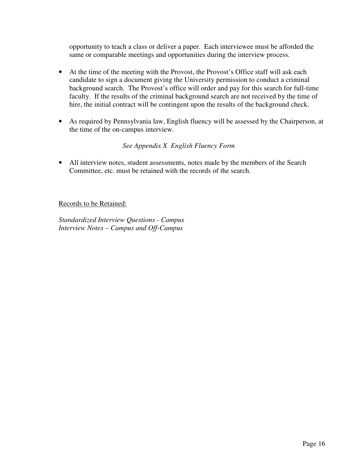opportunity to teach a class or deliver a paper. Each interviewee must be afforded the same or comparable meetings and opportunities during the interview process.

- At the time of the meeting with the Provost, the Provost's Office staff will ask each candidate to sign a document giving the University permission to conduct a criminal background search. The Provost's office will order and pay for this search for full-time faculty. If the results of the criminal background search are not received by the time of hire, the initial contract will be contingent upon the results of the background check.
- As required by Pennsylvania law, English fluency will be assessed by the Chairperson, at the time of the on-campus interview.

## *See Appendix X English Fluency Form*

• All interview notes, student assessments, notes made by the members of the Search Committee, etc. must be retained with the records of the search.

Records to be Retained:

*Standardized Interview Questions - Campus Interview Notes – Campus and Off-Campus*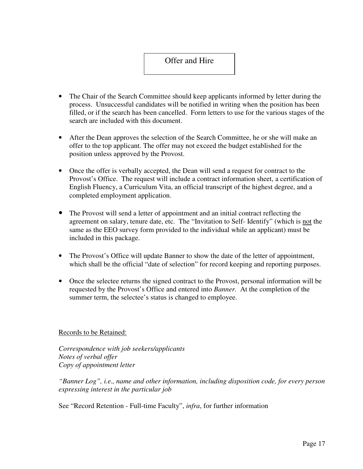## Offer and Hire

- The Chair of the Search Committee should keep applicants informed by letter during the process. Unsuccessful candidates will be notified in writing when the position has been filled, or if the search has been cancelled. Form letters to use for the various stages of the search are included with this document.
- After the Dean approves the selection of the Search Committee, he or she will make an offer to the top applicant. The offer may not exceed the budget established for the position unless approved by the Provost.
- Once the offer is verbally accepted, the Dean will send a request for contract to the Provost's Office. The request will include a contract information sheet, a certification of English Fluency, a Curriculum Vita, an official transcript of the highest degree, and a completed employment application.
- The Provost will send a letter of appointment and an initial contract reflecting the agreement on salary, tenure date, etc. The "Invitation to Self- Identify" (which is not the same as the EEO survey form provided to the individual while an applicant) must be included in this package.
- The Provost's Office will update Banner to show the date of the letter of appointment, which shall be the official "date of selection" for record keeping and reporting purposes.
- Once the selectee returns the signed contract to the Provost, personal information will be requested by the Provost's Office and entered into *Banner.* At the completion of the summer term, the selectee's status is changed to employee.

#### Records to be Retained:

*Correspondence with job seekers/applicants Notes of verbal offer Copy of appointment letter* 

*"Banner Log", i.e., name and other information, including disposition code, for every person expressing interest in the particular job* 

See "Record Retention - Full-time Faculty", *infra*, for further information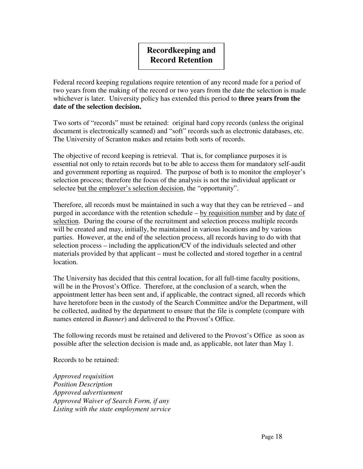# **Recordkeeping and Record Retention**

Federal record keeping regulations require retention of any record made for a period of two years from the making of the record or two years from the date the selection is made whichever is later. University policy has extended this period to **three years from the date of the selection decision.** 

Two sorts of "records" must be retained: original hard copy records (unless the original document is electronically scanned) and "soft" records such as electronic databases, etc. The University of Scranton makes and retains both sorts of records.

The objective of record keeping is retrieval. That is, for compliance purposes it is essential not only to retain records but to be able to access them for mandatory self-audit and government reporting as required. The purpose of both is to monitor the employer's selection process; therefore the focus of the analysis is not the individual applicant or selectee but the employer's selection decision, the "opportunity".

Therefore, all records must be maintained in such a way that they can be retrieved – and purged in accordance with the retention schedule – by requisition number and by date of selection. During the course of the recruitment and selection process multiple records will be created and may, initially, be maintained in various locations and by various parties. However, at the end of the selection process, all records having to do with that selection process – including the application/CV of the individuals selected and other materials provided by that applicant – must be collected and stored together in a central location.

The University has decided that this central location, for all full-time faculty positions, will be in the Provost's Office. Therefore, at the conclusion of a search, when the appointment letter has been sent and, if applicable, the contract signed, all records which have heretofore been in the custody of the Search Committee and/or the Department, will be collected, audited by the department to ensure that the file is complete (compare with names entered in *Banner*) and delivered to the Provost's Office.

The following records must be retained and delivered to the Provost's Office as soon as possible after the selection decision is made and, as applicable, not later than May 1.

Records to be retained:

*Approved requisition Position Description Approved advertisement Approved Waiver of Search Form, if any Listing with the state employment service*